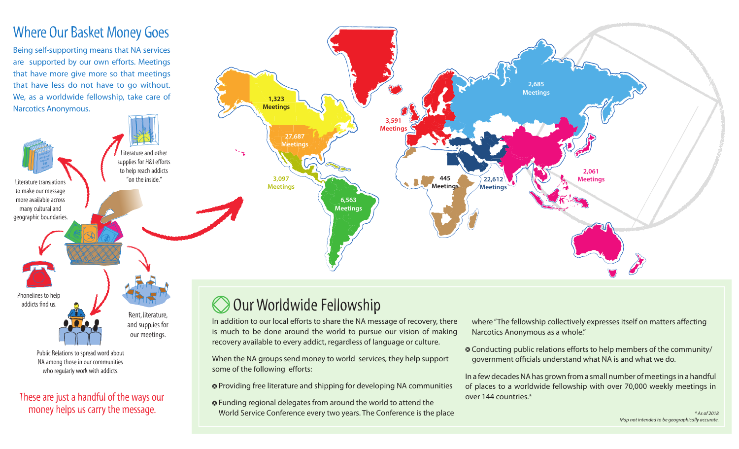#### Where Our Basket Money Goes

Being self-supporting means that NA services are supported by our own efforts. Meetings that have more give more so that meetings that have less do not have to go without. We, as a worldwide fellowship, take care of Narcotics Anonymous.

These are just a handful of the ways our money helps us carry the message.

Public Relations to spread word about NA among those in our communities who regularly work with addicts.

Phonelines to help addicts find us.

> Rent, literature, and supplies for our meetings.



### Our Worldwide Fellowship

In addition to our local efforts to share the NA message of recovery, there is much to be done around the world to pursue our vision of making recovery available to every addict, regardless of language or culture.

When the NA groups send money to world services, they help support some of the following efforts:

Providing free literature and shipping for developing NA communities

 Funding regional delegates from around the world to attend the World Service Conference every two years. The Conference is the place where "The fellowship collectively expresses itself on matters affecting Narcotics Anonymous as a whole."

 $\circ$  Conducting public relations efforts to help members of the community/ government officials understand what NA is and what we do.

In a few decades NA has grown from a small number of meetings in a handful of places to a worldwide fellowship with over 70,000 weekly meetings in over 144 countries.\*

> *\* As of 2018 Map not intended to be geographically accurate.*